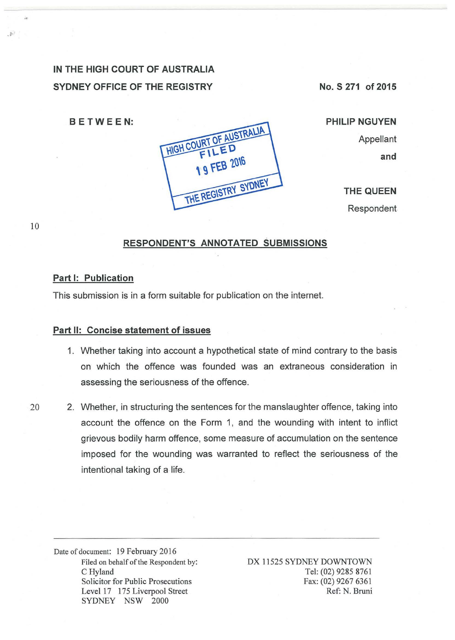# **IN THE HIGH COURT OF AUSTRALIA SYDNEY OFFICE OF THE REGISTRY**

**No. S 271 of 2015** 

**8 E TWE EN:** 

 $D$ 

10



Appellant **and** 

**PHILIP NGUYEN** 

**THE QUEEN**  Respondent

## **RESPONDENT'S ANNOTATED SUBMISSIONS**

#### **Part I: Publication**

This submission is in a form suitable for publication on the internet.

#### **Part 11: Concise statement of issues**

- 1. Whether taking into account a hypothetical state of mind contrary to the basis on which the offence was founded was an extraneous consideration in assessing the seriousness of the offence.
- 20 2. Whether, in structuring the sentences for the manslaughter offence, taking into account the offence on the Form 1, and the wounding with intent to inflict grievous bodily harm offence, some measure of accumulation on the sentence imposed for the wounding was warranted to reflect the seriousness of the intentional taking of a life.

Date of document: 19 February 2016 Filed on behalf of the Respondent by: C Hyland Solicitor for Public Prosecutions Level 17 175 Liverpool Street SYDNEY NSW 2000

DX 11525 SYDNEY DOWNTOWN Tel: (02) 9285 8761 Fax: (02) 9267 6361 Ref: N. Bruni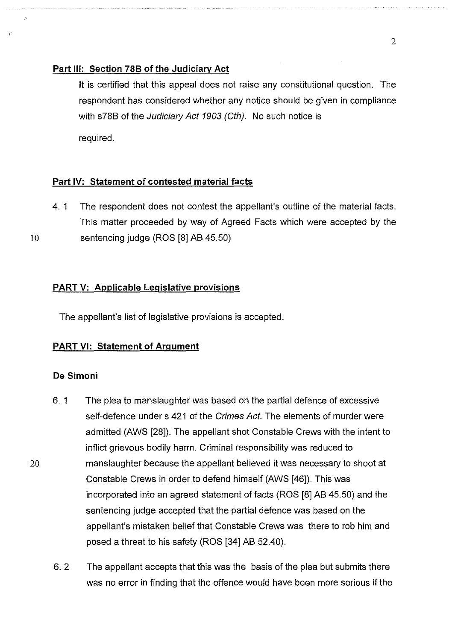#### **Part Ill: Section 788 of the Judiciary Act**

lt is certified that this appeal does not raise any constitutional question. The respondent has considered whether any notice should be given in compliance with s78B of the Judiciary Act 1903 (Cth). No such notice is required.

# **Part IV: Statement of contested material facts**

4. 1 The respondent does not contest the appellant's outline of the material facts. This matter proceeded by way of Agreed Facts which were accepted by the 10 sentencing judge (ROS [8] AB 45.50)

### **PART V: Applicable Legislative provisions**

The appellant's list of legislative provisions is accepted.

### **PART VI: Statement of Argument**

#### **De Simoni**

- 6. 1 The plea to manslaughter was based on the partial defence of excessive self-defence under s 421 of the Crimes Act. The elements of murder were admitted (AWS [28]). The appellant shot Constable Crews with the intent to inflict grievous bodily harm. Criminal responsibility was reduced to manslaughter because the appellant believed it was necessary to shoot at Constable Crews in order to defend himself (AWS [46]). This was incorporated into an agreed statement of facts (ROS [8] AB 45.50) and the sentencing judge accepted that the partial defence was based on the appellant's mistaken belief that Constable Crews was there to rob him and posed a threat to his safety (ROS [34] AB 52.40).
- 6. 2 The appellant accepts that this was the basis of the plea but submits there was no error in finding that the offence would have been more serious if the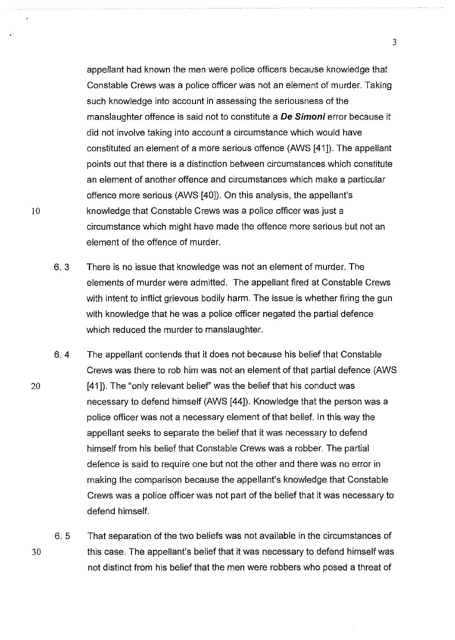appellant had known the men were police officers because knowledge that Constable Crews was a police officer was not an element of murder. Taking such knowledge into account in assessing the seriousness of the manslaughter offence is said not to constitute a **De Simoni** error because it did not involve taking into account a circumstance which would have constituted an element of a more serious offence (AWS [41]). The appellant points out that there is a distinction between circumstances which constitute an element of another offence and circumstances which make a particular offence more serious (AWS [40]). On this analysis, the appellant's knowledge that Constable Crews was a police officer was just a circumstance which might have made the offence more serious but not an element of the offence of murder.

- 6. 3 There is no issue that knowledge was not an element of murder. The elements of murder were admitted. The appellant fired at Constable Crews with intent to inflict grievous bodily harm. The issue is whether firing the gun with knowledge that he was a police officer negated the partial defence which reduced the murder to manslaughter.
- 6.4 The appellant contends that it does not because his belief that Constable Crews was there to rob him was not an element of that partial defence (AWS [41]). The "only relevant belief" was the belief that his conduct was necessary to defend himself (AWS [44]). Knowledge that the person was a police officer was not a necessary element of that belief. In this way the appellant seeks to separate the belief that it was necessary to defend himself from his belief that Constable Crews was a robber. The partial defence is said to require one but not the other and there was no error in making the comparison because the appellant's knowledge that Constable Crews was a police officer was not part of the belief that it was necessary to defend himself.

30 6. 5 That separation of the two beliefs was not available in the circumstances of this case. The appellant's belief that it was necessary to defend himself was not distinct from his belief that the men were robbers who posed a threat of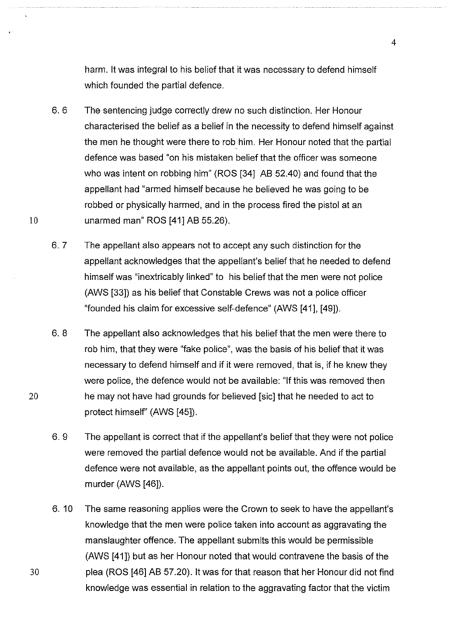harm. it was integral to his belief that it was necessary to defend himself which founded the partial defence.

- 6. 6 The sentencing judge correctly drew no such distinction. Her Honour characterised the belief as a belief in the necessity to defend himself against the men he thought were there to rob him. Her Honour noted that the partial defence was based "on his mistaken belief that the officer was someone who was intent on robbing him" (ROS [34] AB 52.40) and found that the appellant had "armed himself because he believed he was going to be robbed or physically harmed, and in the process fired the pistol at an unarmed man" ROS [41] AB 55.26).
- 6. 7 The appellant also appears not to accept any such distinction for the appellant acknowledges that the appellant's belief that he needed to defend himself was "inextricably linked" to his belief that the men were not police (AWS [33]) as his belief that Constable Crews was not a police officer "founded his claim for excessive self-defence" (AWS [41], [49]).
- 6. 8 The appellant also acknowledges that his belief that the men were there to rob him, that they were "fake police", was the basis of his belief that it was necessary to defend himself and if it were removed, that is, if he knew they were police, the defence would not be available: "If this was removed then he may not have had grounds for believed [sic] that he needed to act to protect himself' (AWS [45]).
- 6.9 The appellant is correct that if the appellant's belief that they were not police were removed the partial defence would not be available. And if the partial defence were not available, as the appellant points out, the offence would be murder (AWS [46]).
- 6. 10 The same reasoning applies were the Crown to seek to have the appellant's knowledge that the men were police taken into account as aggravating the manslaughter offence. The appellant submits this would be permissible (AWS [41]) but as her Honour noted that would contravene the basis of the plea (ROS [46] AB 57.20). it was for that reason that her Honour did not find knowledge was essential in relation to the aggravating factor that the victim

10

20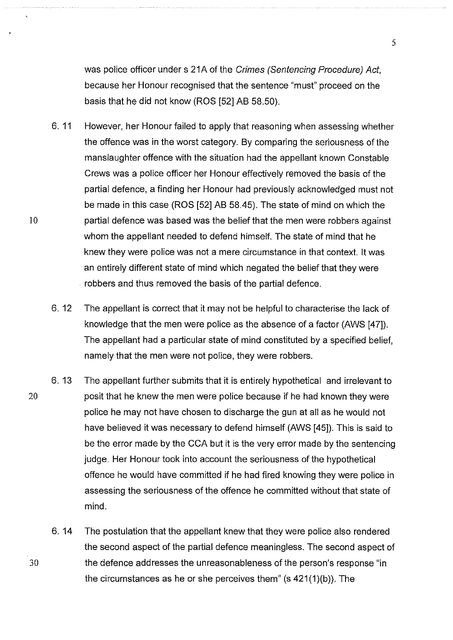was police officer under s 21A of the Crimes (Sentencing Procedure) Act, because her Honour recognised that the sentence "must" proceed on the basis that he did not know (ROS [52] AB 58.50).

- 6. 11 However, her Honour failed to apply that reasoning when assessing whether the offence was in the worst category. By comparing the seriousness of the manslaughter offence with the situation had the appellant known Constable Crews was a police officer her Honour effectively removed the basis of the partial defence, a finding her Honour had previously acknowledged must not be made in this case (ROS [52] AB 58.45). The state of mind on which the partial defence was based was the belief that the men were robbers against whom the appellant needed to defend himself. The state of mind that he knew they were police was not a mere circumstance in that context. it was an entirely different state of mind which negated the belief that they were robbers and thus removed the basis of the partial defence.
- 6. 12 The appellant is correct that it may not be helpful to characterise the lack of knowledge that the men were police as the absence of a factor (AWS [47]). The appellant had a particular state of mind constituted by a specified belief, namely that the men were not police, they were robbers.
- 6. 13 The appellant further submits that it is entirely hypothetical and irrelevant to 20 posit that he knew the men were police because if he had known they were police he may not have chosen to discharge the gun at all as he would not have believed it was necessary to defend himself (AWS [45]). This is said to be the error made by the CCA but it is the very error made by the sentencing judge. Her Honour took into account the seriousness of the hypothetical offence he would have committed if he had fired knowing they were police in assessing the seriousness of the offence he committed without that state of mind.
	- 6. 14 The postulation that the appellant knew that they were police also rendered the second aspect of the partial defence meaningless. The second aspect of the defence addresses the unreasonableness of the person's response "in the circumstances as he or she perceives them" (s 421(1)(b)). The

30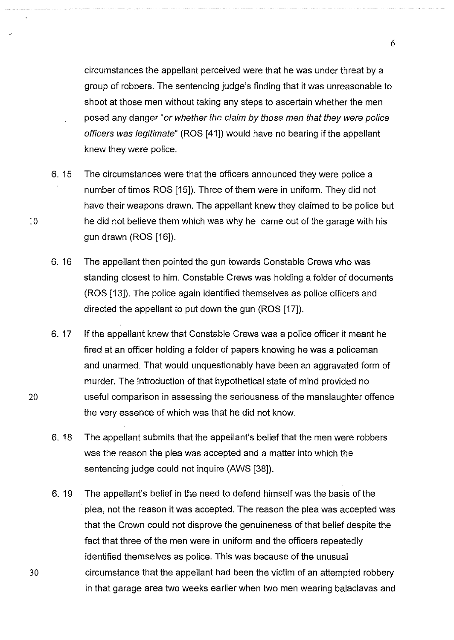circumstances the appellant perceived were that he was under threat by a group of robbers. The sentencing judge's finding that it was unreasonable to shoot at those men without taking any steps to ascertain whether the men posed any danger "or whether the claim by those men that they were police officers was legitimate" (ROS [41]) would have no bearing if the appellant knew they were police.

6. 15 The circumstances were that the officers announced they were police a number of times ROS [15]). Three of them were in uniform. They did not have their weapons drawn. The appellant knew they claimed to be police but 10 he did not believe them which was why he came out of the garage with his gun drawn (ROS [16]).

- 6. 16 The appellant then pointed the gun towards Constable Crews who was standing closest to him. Constable Crews was holding a folder of documents (ROS [13]). The police again identified themselves as police officers and directed the appellant to put down the gun (ROS [17]).
- 6. 17 If the appellant knew that Constable Crews was a police officer it meant he fired at an officer holding a folder of papers knowing he was a policeman and unarmed. That would unquestionably have been an aggravated form of murder. The introduction of that hypothetical state of mind provided no 20 useful comparison in assessing the seriousness of the manslaughter offence the very essence of which was that he did not know.
	- 6. 18 The appellant submits that the appellant's belief that the men were robbers was the reason the plea was accepted and a matter into which the sentencing judge could not inquire (AWS [38]).
	- 6. 19 The appellant's belief in the need to defend himself was the basis of the plea, not the reason it was accepted. The reason the plea was accepted was that the Crown could not disprove the genuineness of that belief despite the fact that three of the men were in uniform and the officers repeatedly identified themselves as police. This was because of the unusual circumstance that the appellant had been the victim of an attempted robbery in that garage area two weeks earlier when two men wearing balaclavas and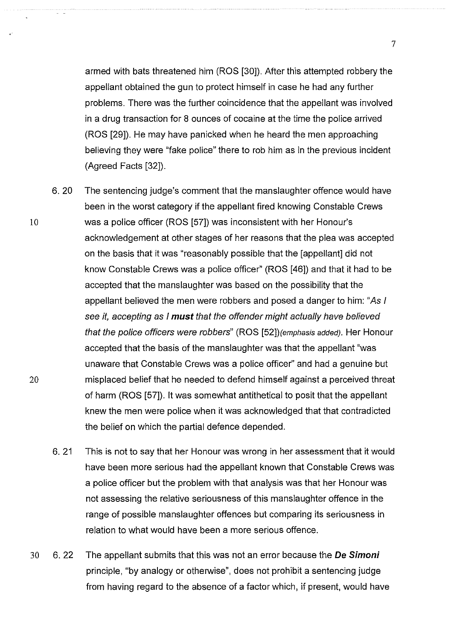armed with bats threatened him (ROS [30]). After this attempted robbery the appellant obtained the gun to protect himself in case he had any further problems. There was the further coincidence that the appellant was involved in a drug transaction for 8 ounces of cocaine at the time the police arrived (ROS [29]). He may have panicked when he heard the men approaching believing they were "fake police" there to rob him as in the previous incident (Agreed Facts [32]).

6. 20 The sentencing judge's comment that the manslaughter offence would have been in the worst category if the appellant fired knowing Constable Crews was a police officer (ROS [57]) was inconsistent with her Honour's acknowledgement at other stages of her reasons that the plea was accepted on the basis that it was "reasonably possible that the [appellant] did not know Constable Crews was a police officer" (ROS [46]) and that it had to be accepted that the manslaughter was based on the possibility that the appellant believed the men were robbers and posed a danger to him: "As I see it, accepting as I **must** that the offender might actually have believed that the police officers were robbers" (ROS [52])(emphasis added). Her Honour accepted that the basis of the manslaughter was that the appellant "was unaware that Constable Crews was a police officer" and had a genuine but misplaced belief that he needed to defend himself against a perceived threat of harm (ROS [57]). it was somewhat antithetical to posit that the appellant knew the men were police when it was acknowledged that that contradicted the belief on which the partial defence depended.

6. 21 This is not to say that her Honour was wrong in her assessment that it would have been more serious had the appellant known that Constable Crews was a police officer but the problem with that analysis was that her Honour was not assessing the relative seriousness of this manslaughter offence in the range of possible manslaughter offences but comparing its seriousness in relation to what would have been a more serious offence.

30 6. 22 The appellant submits that this was not an error because the **De Simoni**  principle, "by analogy or otherwise", does not prohibit a sentencing judge from having regard to the absence of a factor which, if present, would have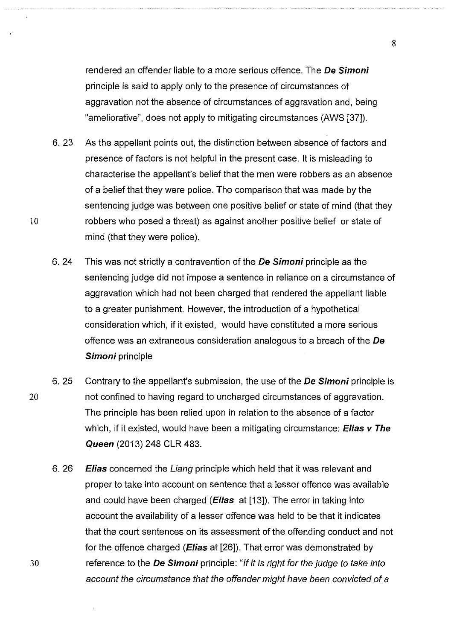rendered an offender liable to a more serious offence. The **De Simoni**  principle is said to apply only to the presence of circumstances of aggravation not the absence of circumstances of aggravation and, being "ameliorative", does not apply to mitigating circumstances (AWS [37]).

- 6. 23 As the appellant points out, the distinction between absence of factors and presence of factors is not helpful in the present case. lt is misleading to characterise the appellant's belief that the men were robbers as an absence of a belief that they were police. The comparison that was made by the sentencing judge was between one positive belief or state of mind (that they 10 robbers who posed a threat) as against another positive belief or state of mind (that they were police).
	- 6. 24 This was not strictly a contravention of the **De Simoni** principle as the sentencing judge did not impose a sentence in reliance on a circumstance of aggravation which had not been charged that rendered the appellant liable to a greater punishment. However, the introduction of a hypothetical consideration which, if it existed, would have constituted a more serious offence was an extraneous consideration analogous to a breach of the **De Simoni** principle
- 6. 25 Contrary to the appellant's submission, the use of the **De Simoni** principle is 20 not confined to having regard to uncharged circumstances of aggravation. The principle has been relied upon in relation to the absence of a factor which, if it existed, would have been a mitigating circumstance: **Elias v The Queen** (2013) 248 CLR 483.
	- 6. 26 **Elias** concerned the Liang principle which held that it was relevant and proper to take into account on sentence that a lesser offence was available and could have been charged **(Eiias** at [13]). The error in taking into account the availability of a lesser offence was held to be that it indicates that the court sentences on its assessment of the offending conduct and not for the offence charged **(Eiias** at [26]). That error was demonstrated by reference to the **De Simoni** principle: "If it is right for the judge to take into account the circumstance that the offender might have been convicted of a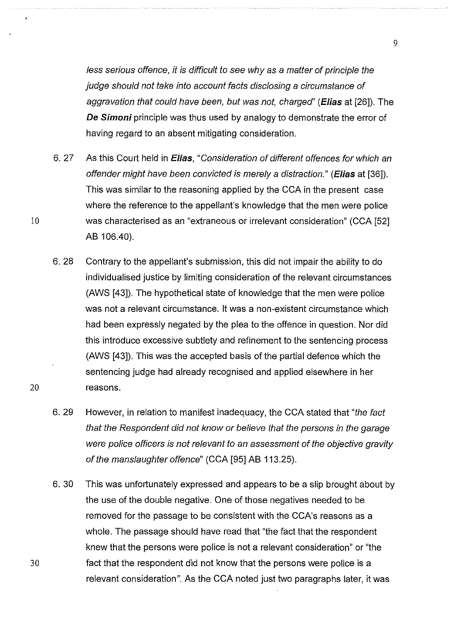less serious offence, it is difficult to see why as a matter of principle the judge should not take into account facts disclosing a circumstance of aggravation that could have been, but was not, charged' **(E/ias** at [26]). The **De Simoni** principle was thus used by analogy to demonstrate the error of having regard to an absent mitigating consideration.

- 6. 27 As this Court held in **E/ias,** "Consideration of different offences for which an offender might have been convicted is merely a distraction." **(E/ias** at [36]). This was similar to the reasoning applied by the CCA in the present case where the reference to the appellant's knowledge that the men were police 10 was characterised as an "extraneous or irrelevant consideration" (CCA [52] AB 106.40).
- 6. 28 Contrary to the appellant's submission, this did not impair the ability to do individualised justice by limiting consideration of the relevant circumstances (AWS [43]). The hypothetical state of knowledge that the men were police was not a relevant circumstance. lt was a non-existent circumstance which had been expressly negated by the plea to the offence in question. Nor did this introduce excessive subtlety and refinement to the sentencing process (AWS [43]). This was the accepted basis of the partial defence which the sentencing judge had already recognised and applied elsewhere in her 20 reasons.
	- 6. 29 However, in relation to manifest inadequacy, the CCA stated that "the fact" that the Respondent did not know or believe that the persons in the garage were police officers is not relevant to an assessment of the objective gravity of the manslaughter offence" (CCA [95] AB 113.25).
	- 6. 30 This was unfortunately expressed and appears to be a slip brought about by the use of the double negative. One of those negatives needed to be removed for the passage to be consistent with the CCA's reasons as a whole. The passage should have read that "the fact that the respondent knew that the persons were police is not a relevant consideration" or "the fact that the respondent did not know that the persons were police is a relevant consideration". As the CCA noted just two paragraphs later, it was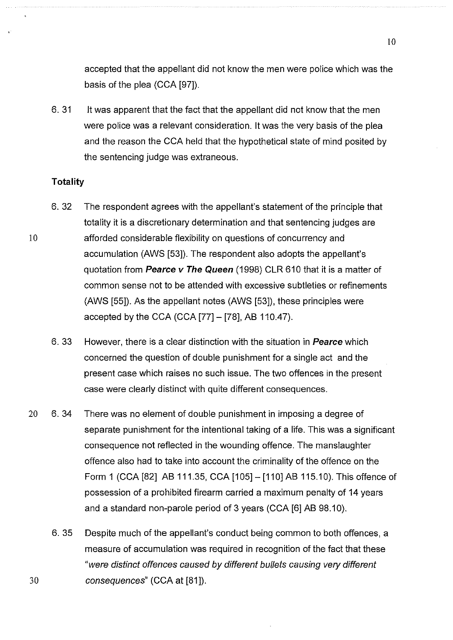accepted that the appellant did not know the men were police which was the basis of the plea (CCA [97]).

6. 31 It was apparent that the fact that the appellant did not know that the men were police was a relevant consideration. it was the very basis of the plea and the reason the CCA held that the hypothetical state of mind posited by the sentencing judge was extraneous.

# **Totality**

10

- 6. 32 The respondent agrees with the appellant's statement of the principle that totality it is a discretionary determination and that sentencing judges are afforded considerable flexibility on questions of concurrency and accumulation (AWS [53]). The respondent also adopts the appellant's quotation from **Pearce v The Queen** (1998) CLR 610 that it is a matter of common sense not to be attended with excessive subtleties or refinements (AWS [55]). As the appellant notes (AWS [53]), these principles were accepted by the CCA (CCA  $[77] - [78]$ , AB 110.47).
- 6. 33 However, there is a clear distinction with the situation in **Pearce** which concerned the question of double punishment for a single act and the present case which raises no such issue. The two offences in the present case were clearly distinct with quite different consequences.
- 20 6. 34 There was no element of double punishment in imposing a degree of separate punishment for the intentional taking of a life. This was a significant consequence not reflected in the wounding offence. The manslaughter offence also had to take into account the criminality of the offence on the Form 1 (CCA [82] AB 111.35, CCA [105] - [110] AB 115.10). This offence of possession of a prohibited firearm carried a maximum penalty of 14 years and a standard non-parole period of 3 years (CCA [6] AB 98.10).
- 6. 35 Despite much of the appellant's conduct being common to both offences, a measure of accumulation was required in recognition of the fact that these "were distinct offences caused by different bullets causing very different 30 consequences" (CCA at [81]).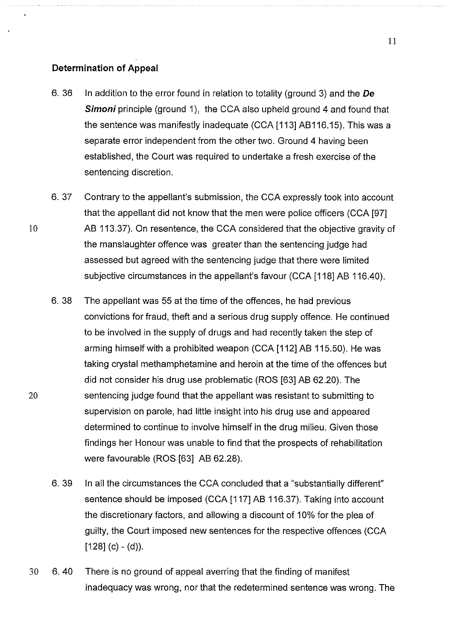#### **Determination of Appeal**

- 6. 36 In addition to the error found in relation to totality (ground 3) and the De **Simoni** principle (ground 1), the CCA also upheld ground 4 and found that the sentence was manifestly inadequate (CCA [113] AB116.15). This was a separate error independent from the other two. Ground 4 having been established, the Court was required to undertake a fresh exercise of the sentencing discretion.
- 6. 37 Contrary to the appellant's submission, the CCA expressly took into account that the appellant did not know that the men were police officers (CCA [97] 10 AB 113.37). On resentence, the CCA considered that the objective gravity of the manslaughter offence was greater than the sentencing judge had assessed but agreed with the sentencing judge that there were limited subjective circumstances in the appellant's favour (CCA [118] AB 116.40).
	- 6. 38 The appellant was 55 at the time of the offences, he had previous convictions for fraud, theft and a serious drug supply offence. He continued to be involved in the supply of drugs and had recently taken the step of arming himself with a prohibited weapon (CCA [112] AB 115.50). He was taking crystal methamphetamine and heroin at the time of the offences but did not consider his drug use problematic (ROS [63] AB 62.20). The sentencing judge found that the appellant was resistant to submitting to supervision on parole, had little insight into his drug use and appeared determined to continue to involve himself in the drug milieu. Given those findings her Honour was unable to find that the prospects of rehabilitation were favourable (ROS [63] AB 62.28).
	- 6. 39 In all the circumstances the CCA concluded that a "substantially different" sentence should be imposed (CCA [117] AB 116.37). Taking into account the discretionary factors, and allowing a discount of 10% for the plea of guilty, the Court imposed new sentences for the respective offences (CCA  $[128]$  (c) - (d)).
- 30 6. 40 There is no ground of appeal averring that the finding of manifest inadequacy was wrong, nor that the redetermined sentence was wrong. The